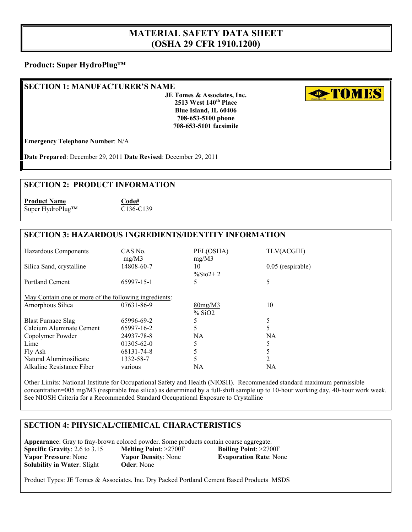# **MATERIAL SAFETY DATA SHEET (OSHA 29 CFR 1910.1200)**

#### **Product: Super HydroPlug™**

#### **SECTION 1: MANUFACTURER'S NAME**

**JE Tomes & Associates, Inc. 2513 West 140th Place Blue Island, IL 60406 708-653-5100 phone 708-653-5101 facsimile**

**External Town ES** 

**Emergency Telephone Number**: N/A

**Date Prepared**: December 29, 2011 **Date Revised**: December 29, 2011

#### **SECTION 2: PRODUCT INFORMATION**

**Product Name Code#** Super HydroPlug™ C136-C139

## **SECTION 3: HAZARDOUS INGREDIENTS/IDENTITY INFORMATION**

| Hazardous Components                                  | CAS No.<br>mg/M3 | PEL(OSHA)<br>mg/M3         | TLV(ACGIH)          |
|-------------------------------------------------------|------------------|----------------------------|---------------------|
| Silica Sand, crystalline                              | 14808-60-7       | 10<br>$\frac{6}{5002} + 2$ | $0.05$ (respirable) |
| <b>Portland Cement</b>                                | 65997-15-1       | 5                          | 5                   |
| May Contain one or more of the following ingredients: |                  |                            |                     |
| Amorphous Silica                                      | 07631-86-9       | 80mg/M3<br>% SiO2          | 10                  |
| <b>Blast Furnace Slag</b>                             | 65996-69-2       |                            | 5                   |
| Calcium Aluminate Cement                              | 65997-16-2       | 5                          | 5                   |
| Copolymer Powder                                      | 24937-78-8       | NA.                        | NA.                 |
| Lime                                                  | $01305 - 62 - 0$ |                            |                     |
| Fly Ash                                               | 68131-74-8       | 5                          |                     |
| Natural Aluminosilicate                               | 1332-58-7        | 5                          | 2                   |
| Alkaline Resistance Fiber                             | various          | NA                         | NA                  |

Other Limits: National Institute for Occupational Safety and Health (NIOSH). Recommended standard maximum permissible concentration=005 mg/M3 (respirable free silica) as determined by a full-shift sample up to 10-hour working day, 40-hour work week. See NIOSH Criteria for a Recommended Standard Occupational Exposure to Crystalline

## **SECTION 4: PHYSICAL/CHEMICAL CHARACTERISTICS**

**Appearance**: Gray to fray-brown colored powder. Some products contain coarse aggregate. **Specific Gravity**: 2.6 to 3.15 **Melting Point**: >2700F **Boiling Point**: >2700F **Vapor Pressure**: None **Vapor Density**: None **Evaporation Rate**: None **Solubility in Water: Slight <b>Oder:** None

Product Types: JE Tomes & Associates, Inc. Dry Packed Portland Cement Based Products MSDS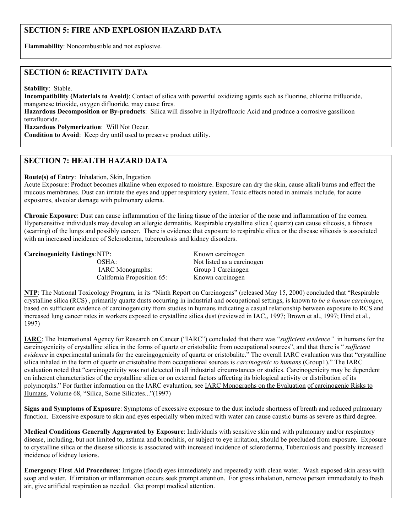## **SECTION 5: FIRE AND EXPLOSION HAZARD DATA**

**Flammability**: Noncombustible and not explosive.

#### **SECTION 6: REACTIVITY DATA**

**Stability**: Stable.

**Incompatibility (Materials to Avoid)**: Contact of silica with powerful oxidizing agents such as fluorine, chlorine trifluoride, manganese trioxide, oxygen difluoride, may cause fires.

**Hazardous Decomposition or By-products**: Silica will dissolve in Hydrofluoric Acid and produce a corrosive gassilicon tetrafluoride.

**Hazardous Polymerization**: Will Not Occur.

**Condition to Avoid**: Keep dry until used to preserve product utility.

### **SECTION 7: HEALTH HAZARD DATA**

**Route(s) of Entry**: Inhalation, Skin, Ingestion

Acute Exposure: Product becomes alkaline when exposed to moisture. Exposure can dry the skin, cause alkali burns and effect the mucous membranes. Dust can irritate the eyes and upper respiratory system. Toxic effects noted in animals include, for acute exposures, alveolar damage with pulmonary edema.

**Chronic Exposure**: Dust can cause inflammation of the lining tissue of the interior of the nose and inflammation of the cornea. Hypersensitive individuals may develop an allergic dermatitis. Respirable crystalline silica ( quartz) can cause silicosis, a fibrosis (scarring) of the lungs and possibly cancer. There is evidence that exposure to respirable silica or the disease silicosis is associated with an increased incidence of Scleroderma, tuberculosis and kidney disorders.

**Carcinogenicity Listings: NTP:** Known carcinogen

 IARC Monographs: Group 1 Carcinogen California Proposition 65: Known carcinogen

OSHA: Not listed as a carcinogen

**NTP**: The National Toxicology Program, in its "Ninth Report on Carcinogens" (released May 15, 2000) concluded that "Respirable crystalline silica (RCS) , primarily quartz dusts occurring in industrial and occupational settings, is known to *be a human carcinogen*, based on sufficient evidence of carcinogenicity from studies in humans indicating a casual relationship between exposure to RCS and increased lung cancer rates in workers exposed to crystalline silica dust (reviewed in IAC,, 1997; Brown et al., 1997; Hind et al., 1997)

**IARC**: The International Agency for Research on Cancer ("IARC") concluded that there was "*sufficient evidence"* in humans for the carcinogenicity of crystalline silica in the forms of quartz or cristobalite from occupational sources", and that there is " *sufficient evidence* in experimental animals for the carcingogenicity of quartz or cristobalite.<sup>7</sup> The overall IARC evaluation was that "crystalline" silica inhaled in the form of quartz or cristobalite from occupational sources is *carcinogenic to humans* (Group1)." The IARC evaluation noted that "carcinogenicity was not detected in all industrial circumstances or studies. Carcinogenicity may be dependent on inherent characteristics of the crystalline silica or on external factors affecting its biological activity or distribution of its polymorphs." For further information on the IARC evaluation, see IARC Monographs on the Evaluation of carcinogenic Risks to Humans, Volume 68, "Silica, Some Silicates..."(1997)

**Signs and Symptoms of Exposure**: Symptoms of excessive exposure to the dust include shortness of breath and reduced pulmonary function. Excessive exposure to skin and eyes especially when mixed with water can cause caustic burns as severe as third degree.

**Medical Conditions Generally Aggravated by Exposure**: Individuals with sensitive skin and with pulmonary and/or respiratory disease, including, but not limited to, asthma and bronchitis, or subject to eye irritation, should be precluded from exposure. Exposure to crystalline silica or the disease silicosis is associated with increased incidence of scleroderma, Tuberculosis and possibly increased incidence of kidney lesions.

**Emergency First Aid Procedures**: Irrigate (flood) eyes immediately and repeatedly with clean water. Wash exposed skin areas with soap and water. If irritation or inflammation occurs seek prompt attention. For gross inhalation, remove person immediately to fresh air, give artificial respiration as needed. Get prompt medical attention.